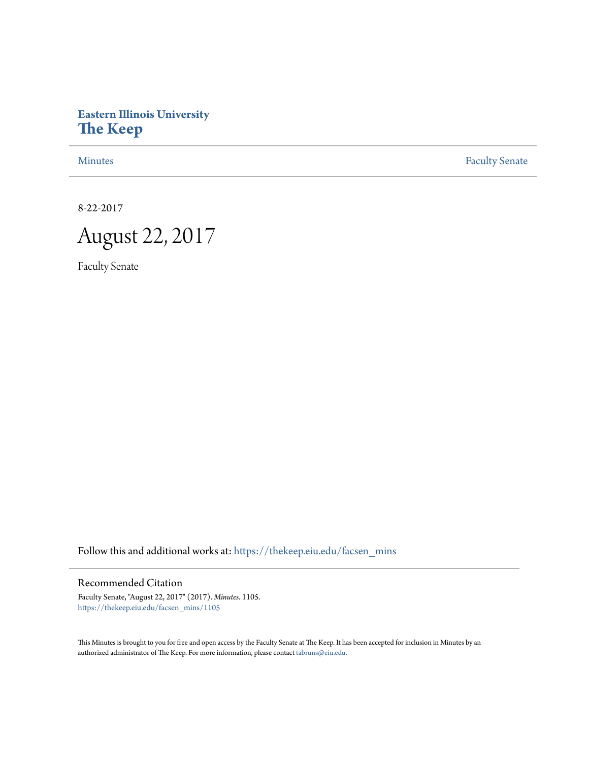## **Eastern Illinois University [The Keep](https://thekeep.eiu.edu?utm_source=thekeep.eiu.edu%2Ffacsen_mins%2F1105&utm_medium=PDF&utm_campaign=PDFCoverPages)**

[Minutes](https://thekeep.eiu.edu/facsen_mins?utm_source=thekeep.eiu.edu%2Ffacsen_mins%2F1105&utm_medium=PDF&utm_campaign=PDFCoverPages) **[Faculty Senate](https://thekeep.eiu.edu/fac_senate?utm_source=thekeep.eiu.edu%2Ffacsen_mins%2F1105&utm_medium=PDF&utm_campaign=PDFCoverPages)** 

8-22-2017

August 22, 2017

Faculty Senate

Follow this and additional works at: [https://thekeep.eiu.edu/facsen\\_mins](https://thekeep.eiu.edu/facsen_mins?utm_source=thekeep.eiu.edu%2Ffacsen_mins%2F1105&utm_medium=PDF&utm_campaign=PDFCoverPages)

## Recommended Citation

Faculty Senate, "August 22, 2017" (2017). *Minutes*. 1105. [https://thekeep.eiu.edu/facsen\\_mins/1105](https://thekeep.eiu.edu/facsen_mins/1105?utm_source=thekeep.eiu.edu%2Ffacsen_mins%2F1105&utm_medium=PDF&utm_campaign=PDFCoverPages)

This Minutes is brought to you for free and open access by the Faculty Senate at The Keep. It has been accepted for inclusion in Minutes by an authorized administrator of The Keep. For more information, please contact [tabruns@eiu.edu](mailto:tabruns@eiu.edu).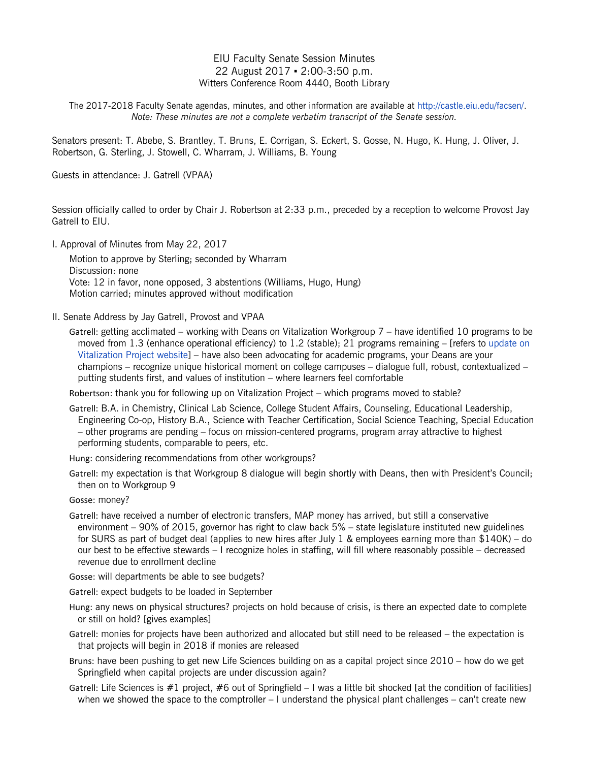## EIU Faculty Senate Session Minutes 22 August 2017 ▪ 2:00-3:50 p.m. Witters Conference Room 4440, Booth Library

The 2017-2018 Faculty Senate agendas, minutes, and other information are available at [http://castle.eiu.edu/facsen/.](http://castle.eiu.edu/facsen/) *Note: These minutes are not a complete verbatim transcript of the Senate session.*

Senators present: T. Abebe, S. Brantley, T. Bruns, E. Corrigan, S. Eckert, S. Gosse, N. Hugo, K. Hung, J. Oliver, J. Robertson, G. Sterling, J. Stowell, C. Wharram, J. Williams, B. Young

Guests in attendance: J. Gatrell (VPAA)

Session officially called to order by Chair J. Robertson at 2:33 p.m., preceded by a reception to welcome Provost Jay Gatrell to EIU.

I. Approval of Minutes from May 22, 2017

Motion to approve by Sterling; seconded by Wharram Discussion: none Vote: 12 in favor, none opposed, 3 abstentions (Williams, Hugo, Hung) Motion carried; minutes approved without modification

II. Senate Address by Jay Gatrell, Provost and VPAA

Gatrell: getting acclimated – working with Deans on Vitalization Workgroup 7 – have identified 10 programs to be moved from 1.3 (enhance operational efficiency) to 1.2 (stable); 21 programs remaining – [refers to [update on](https://www.eiu.edu/vitalizeproject/report/file_download.php?update=7-1)  [Vitalization Project website\]](https://www.eiu.edu/vitalizeproject/report/file_download.php?update=7-1) – have also been advocating for academic programs, your Deans are your champions – recognize unique historical moment on college campuses – dialogue full, robust, contextualized – putting students first, and values of institution – where learners feel comfortable

Robertson: thank you for following up on Vitalization Project – which programs moved to stable?

Gatrell: B.A. in Chemistry, Clinical Lab Science, College Student Affairs, Counseling, Educational Leadership, Engineering Co-op, History B.A., Science with Teacher Certification, Social Science Teaching, Special Education – other programs are pending – focus on mission-centered programs, program array attractive to highest performing students, comparable to peers, etc.

Hung: considering recommendations from other workgroups?

Gatrell: my expectation is that Workgroup 8 dialogue will begin shortly with Deans, then with President's Council; then on to Workgroup 9

Gosse: money?

Gatrell: have received a number of electronic transfers, MAP money has arrived, but still a conservative environment – 90% of 2015, governor has right to claw back 5% – state legislature instituted new guidelines for SURS as part of budget deal (applies to new hires after July 1 & employees earning more than \$140K) – do our best to be effective stewards – I recognize holes in staffing, will fill where reasonably possible – decreased revenue due to enrollment decline

Gosse: will departments be able to see budgets?

Gatrell: expect budgets to be loaded in September

- Hung: any news on physical structures? projects on hold because of crisis, is there an expected date to complete or still on hold? [gives examples]
- Gatrell: monies for projects have been authorized and allocated but still need to be released the expectation is that projects will begin in 2018 if monies are released
- Bruns: have been pushing to get new Life Sciences building on as a capital project since 2010 how do we get Springfield when capital projects are under discussion again?
- Gatrell: Life Sciences is  $#1$  project,  $#6$  out of Springfield I was a little bit shocked [at the condition of facilities] when we showed the space to the comptroller  $-1$  understand the physical plant challenges  $-$  can't create new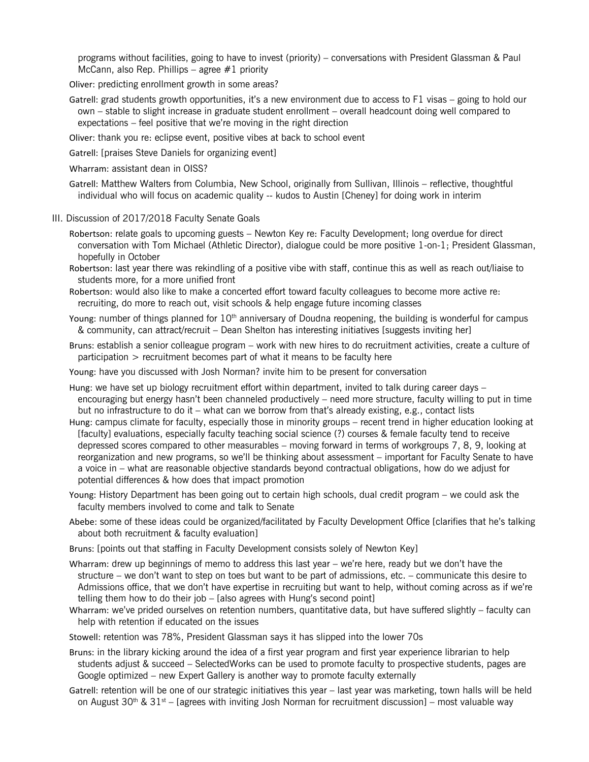programs without facilities, going to have to invest (priority) – conversations with President Glassman & Paul McCann, also Rep. Phillips – agree  $#1$  priority

- Oliver: predicting enrollment growth in some areas?
- Gatrell: grad students growth opportunities, it's a new environment due to access to F1 visas going to hold our own – stable to slight increase in graduate student enrollment – overall headcount doing well compared to expectations – feel positive that we're moving in the right direction
- Oliver: thank you re: eclipse event, positive vibes at back to school event
- Gatrell: [praises Steve Daniels for organizing event]
- Wharram: assistant dean in OISS?
- Gatrell: Matthew Walters from Columbia, New School, originally from Sullivan, Illinois reflective, thoughtful individual who will focus on academic quality -- kudos to Austin [Cheney] for doing work in interim
- III. Discussion of 2017/2018 Faculty Senate Goals
	- Robertson: relate goals to upcoming guests Newton Key re: Faculty Development; long overdue for direct conversation with Tom Michael (Athletic Director), dialogue could be more positive 1-on-1; President Glassman, hopefully in October
	- Robertson: last year there was rekindling of a positive vibe with staff, continue this as well as reach out/liaise to students more, for a more unified front
	- Robertson: would also like to make a concerted effort toward faculty colleagues to become more active re: recruiting, do more to reach out, visit schools & help engage future incoming classes
	- Young: number of things planned for 10<sup>th</sup> anniversary of Doudna reopening, the building is wonderful for campus & community, can attract/recruit – Dean Shelton has interesting initiatives [suggests inviting her]
	- Bruns: establish a senior colleague program work with new hires to do recruitment activities, create a culture of participation > recruitment becomes part of what it means to be faculty here
	- Young: have you discussed with Josh Norman? invite him to be present for conversation
	- Hung: we have set up biology recruitment effort within department, invited to talk during career days encouraging but energy hasn't been channeled productively – need more structure, faculty willing to put in time but no infrastructure to do it – what can we borrow from that's already existing, e.g., contact lists
	- Hung: campus climate for faculty, especially those in minority groups recent trend in higher education looking at [faculty] evaluations, especially faculty teaching social science (?) courses & female faculty tend to receive depressed scores compared to other measurables – moving forward in terms of workgroups 7, 8, 9, looking at reorganization and new programs, so we'll be thinking about assessment – important for Faculty Senate to have a voice in – what are reasonable objective standards beyond contractual obligations, how do we adjust for potential differences & how does that impact promotion
	- Young: History Department has been going out to certain high schools, dual credit program we could ask the faculty members involved to come and talk to Senate
	- Abebe: some of these ideas could be organized/facilitated by Faculty Development Office [clarifies that he's talking about both recruitment & faculty evaluation]
	- Bruns: [points out that staffing in Faculty Development consists solely of Newton Key]
	- Wharram: drew up beginnings of memo to address this last year we're here, ready but we don't have the structure – we don't want to step on toes but want to be part of admissions, etc. – communicate this desire to Admissions office, that we don't have expertise in recruiting but want to help, without coming across as if we're telling them how to do their job – [also agrees with Hung's second point]
	- Wharram: we've prided ourselves on retention numbers, quantitative data, but have suffered slightly faculty can help with retention if educated on the issues
	- Stowell: retention was 78%, President Glassman says it has slipped into the lower 70s
	- Bruns: in the library kicking around the idea of a first year program and first year experience librarian to help students adjust & succeed – SelectedWorks can be used to promote faculty to prospective students, pages are Google optimized – new Expert Gallery is another way to promote faculty externally
	- Gatrell: retention will be one of our strategic initiatives this year last year was marketing, town halls will be held on August 30<sup>th</sup> & 31<sup>st</sup> – [agrees with inviting Josh Norman for recruitment discussion] – most valuable way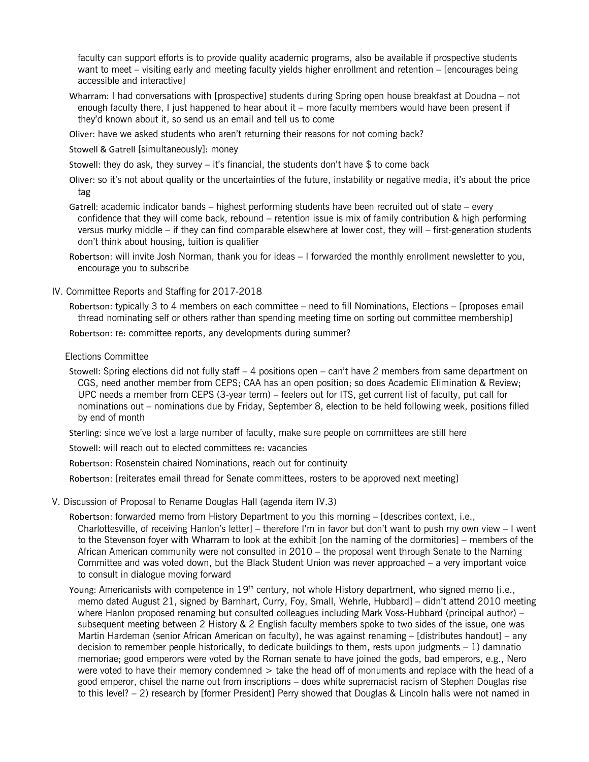faculty can support efforts is to provide quality academic programs, also be available if prospective students want to meet – visiting early and meeting faculty yields higher enrollment and retention – [encourages being accessible and interactive]

Wharram: I had conversations with [prospective] students during Spring open house breakfast at Doudna – not enough faculty there, I just happened to hear about it – more faculty members would have been present if they'd known about it, so send us an email and tell us to come

Oliver: have we asked students who aren't returning their reasons for not coming back?

Stowell & Gatrell [simultaneously]: money

Stowell: they do ask, they survey – it's financial, the students don't have \$ to come back

Oliver: so it's not about quality or the uncertainties of the future, instability or negative media, it's about the price tag

Gatrell: academic indicator bands – highest performing students have been recruited out of state – every confidence that they will come back, rebound – retention issue is mix of family contribution & high performing versus murky middle – if they can find comparable elsewhere at lower cost, they will – first-generation students don't think about housing, tuition is qualifier

Robertson: will invite Josh Norman, thank you for ideas – I forwarded the monthly enrollment newsletter to you, encourage you to subscribe

IV. Committee Reports and Staffing for 2017-2018

Robertson: typically 3 to 4 members on each committee – need to fill Nominations, Elections – [proposes email thread nominating self or others rather than spending meeting time on sorting out committee membership]

Robertson: re: committee reports, any developments during summer?

Elections Committee

Stowell: Spring elections did not fully staff – 4 positions open – can't have 2 members from same department on CGS, need another member from CEPS; CAA has an open position; so does Academic Elimination & Review; UPC needs a member from CEPS (3-year term) – feelers out for ITS, get current list of faculty, put call for nominations out – nominations due by Friday, September 8, election to be held following week, positions filled by end of month

Sterling: since we've lost a large number of faculty, make sure people on committees are still here

Stowell: will reach out to elected committees re: vacancies

Robertson: Rosenstein chaired Nominations, reach out for continuity

Robertson: [reiterates email thread for Senate committees, rosters to be approved next meeting]

V. Discussion of Proposal to Rename Douglas Hall (agenda item IV.3)

Robertson: forwarded memo from History Department to you this morning – [describes context, i.e., Charlottesville, of receiving Hanlon's letter] – therefore I'm in favor but don't want to push my own view – I went to the Stevenson foyer with Wharram to look at the exhibit [on the naming of the dormitories] – members of the African American community were not consulted in 2010 – the proposal went through Senate to the Naming Committee and was voted down, but the Black Student Union was never approached – a very important voice to consult in dialogue moving forward

Young: Americanists with competence in 19<sup>th</sup> century, not whole History department, who signed memo [i.e., memo dated August 21, signed by Barnhart, Curry, Foy, Small, Wehrle, Hubbard] – didn't attend 2010 meeting where Hanlon proposed renaming but consulted colleagues including Mark Voss-Hubbard (principal author) subsequent meeting between 2 History & 2 English faculty members spoke to two sides of the issue, one was Martin Hardeman (senior African American on faculty), he was against renaming – [distributes handout] – any decision to remember people historically, to dedicate buildings to them, rests upon judgments  $-1$ ) damnatio memoriae; good emperors were voted by the Roman senate to have joined the gods, bad emperors, e.g., Nero were voted to have their memory condemned > take the head off of monuments and replace with the head of a good emperor, chisel the name out from inscriptions – does white supremacist racism of Stephen Douglas rise to this level? – 2) research by [former President] Perry showed that Douglas & Lincoln halls were not named in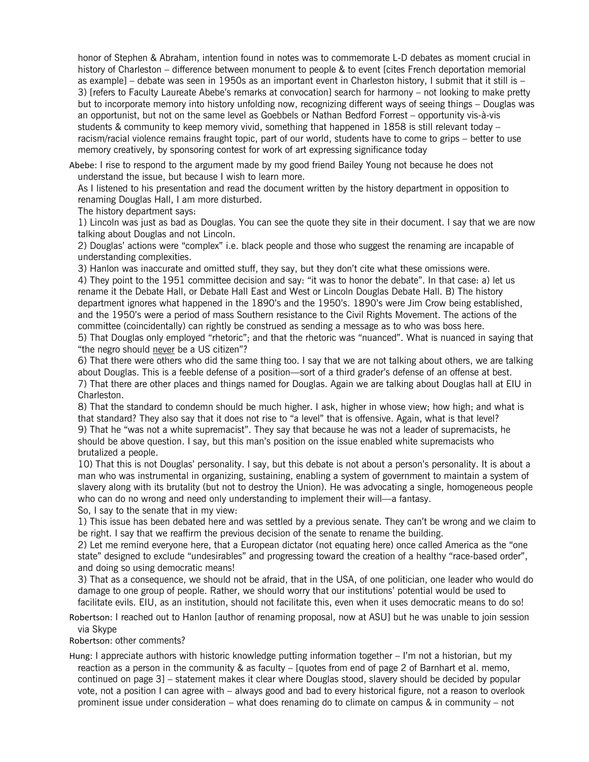honor of Stephen & Abraham, intention found in notes was to commemorate L-D debates as moment crucial in history of Charleston – difference between monument to people & to event [cites French deportation memorial as example] – debate was seen in 1950s as an important event in Charleston history, I submit that it still is – 3) [refers to Faculty Laureate Abebe's remarks at convocation] search for harmony – not looking to make pretty but to incorporate memory into history unfolding now, recognizing different ways of seeing things – Douglas was an opportunist, but not on the same level as Goebbels or Nathan Bedford Forrest – opportunity vis-à-vis students & community to keep memory vivid, something that happened in 1858 is still relevant today – racism/racial violence remains fraught topic, part of our world, students have to come to grips – better to use memory creatively, by sponsoring contest for work of art expressing significance today

Abebe: I rise to respond to the argument made by my good friend Bailey Young not because he does not understand the issue, but because I wish to learn more.

As I listened to his presentation and read the document written by the history department in opposition to renaming Douglas Hall, I am more disturbed.

The history department says:

1) Lincoln was just as bad as Douglas. You can see the quote they site in their document. I say that we are now talking about Douglas and not Lincoln.

2) Douglas' actions were "complex" i.e. black people and those who suggest the renaming are incapable of understanding complexities.

3) Hanlon was inaccurate and omitted stuff, they say, but they don't cite what these omissions were. 4) They point to the 1951 committee decision and say: "it was to honor the debate". In that case: a) let us rename it the Debate Hall, or Debate Hall East and West or Lincoln Douglas Debate Hall. B) The history department ignores what happened in the 1890's and the 1950's. 1890's were Jim Crow being established, and the 1950's were a period of mass Southern resistance to the Civil Rights Movement. The actions of the committee (coincidentally) can rightly be construed as sending a message as to who was boss here.

5) That Douglas only employed "rhetoric"; and that the rhetoric was "nuanced". What is nuanced in saying that "the negro should never be a US citizen"?

6) That there were others who did the same thing too. I say that we are not talking about others, we are talking about Douglas. This is a feeble defense of a position—sort of a third grader's defense of an offense at best. 7) That there are other places and things named for Douglas. Again we are talking about Douglas hall at EIU in Charleston.

8) That the standard to condemn should be much higher. I ask, higher in whose view; how high; and what is that standard? They also say that it does not rise to "a level" that is offensive. Again, what is that level? 9) That he "was not a white supremacist". They say that because he was not a leader of supremacists, he should be above question. I say, but this man's position on the issue enabled white supremacists who brutalized a people.

10) That this is not Douglas' personality. I say, but this debate is not about a person's personality. It is about a man who was instrumental in organizing, sustaining, enabling a system of government to maintain a system of slavery along with its brutality (but not to destroy the Union). He was advocating a single, homogeneous people who can do no wrong and need only understanding to implement their will—a fantasy.

So, I say to the senate that in my view:

1) This issue has been debated here and was settled by a previous senate. They can't be wrong and we claim to be right. I say that we reaffirm the previous decision of the senate to rename the building.

2) Let me remind everyone here, that a European dictator (not equating here) once called America as the "one state" designed to exclude "undesirables" and progressing toward the creation of a healthy "race-based order", and doing so using democratic means!

3) That as a consequence, we should not be afraid, that in the USA, of one politician, one leader who would do damage to one group of people. Rather, we should worry that our institutions' potential would be used to facilitate evils. EIU, as an institution, should not facilitate this, even when it uses democratic means to do so!

Robertson: I reached out to Hanlon [author of renaming proposal, now at ASU] but he was unable to join session via Skype

Robertson: other comments?

Hung: I appreciate authors with historic knowledge putting information together – I'm not a historian, but my reaction as a person in the community & as faculty – [quotes from end of page 2 of Barnhart et al. memo, continued on page 3] – statement makes it clear where Douglas stood, slavery should be decided by popular vote, not a position I can agree with – always good and bad to every historical figure, not a reason to overlook prominent issue under consideration – what does renaming do to climate on campus & in community – not